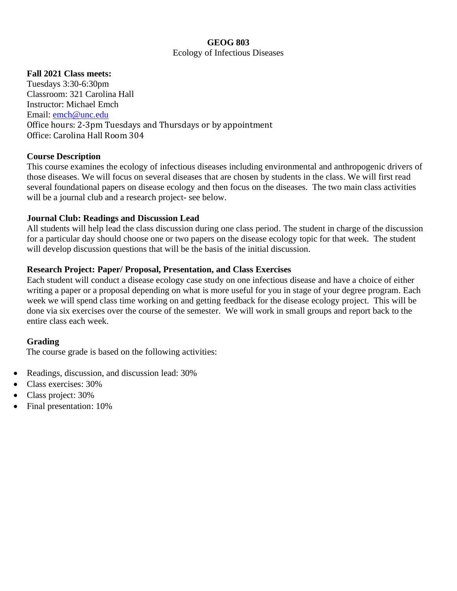### **GEOG 803** Ecology of Infectious Diseases

### **Fall 2021 Class meets:**

Tuesdays 3:30-6:30pm Classroom: 321 Carolina Hall Instructor: Michael Emch Email: emch@unc.edu Office hours: 2-3pm Tuesdays and Thursdays or by appointment Office: Carolina Hall Room 304

### **Course Description**

This course examines the ecology of infectious diseases including environmental and anthropogenic drivers of those diseases. We will focus on several diseases that are chosen by students in the class. We will first read several foundational papers on disease ecology and then focus on the diseases. The two main class activities will be a journal club and a research project- see below.

### **Journal Club: Readings and Discussion Lead**

All students will help lead the class discussion during one class period. The student in charge of the discussion for a particular day should choose one or two papers on the disease ecology topic for that week. The student will develop discussion questions that will be the basis of the initial discussion.

### **Research Project: Paper/ Proposal, Presentation, and Class Exercises**

Each student will conduct a disease ecology case study on one infectious disease and have a choice of either writing a paper or a proposal depending on what is more useful for you in stage of your degree program. Each week we will spend class time working on and getting feedback for the disease ecology project. This will be done via six exercises over the course of the semester. We will work in small groups and report back to the entire class each week.

### **Grading**

The course grade is based on the following activities:

- Readings, discussion, and discussion lead: 30%
- Class exercises: 30%
- Class project: 30%
- Final presentation: 10%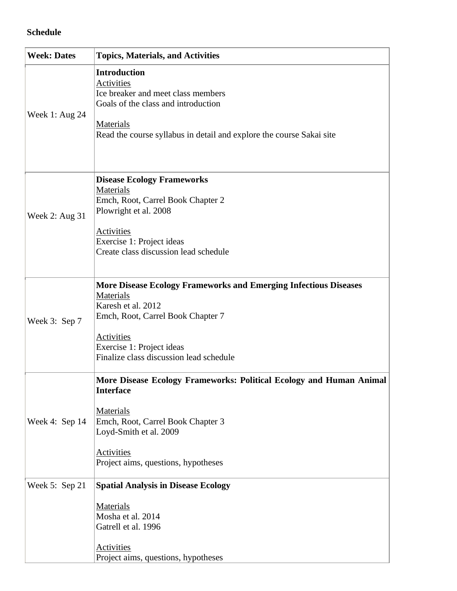### **Schedule**

| <b>Week: Dates</b> | <b>Topics, Materials, and Activities</b>                                                                                                                                                                                                     |
|--------------------|----------------------------------------------------------------------------------------------------------------------------------------------------------------------------------------------------------------------------------------------|
| Week 1: Aug $24$   | <b>Introduction</b><br><b>Activities</b><br>Ice breaker and meet class members<br>Goals of the class and introduction<br>Materials<br>Read the course syllabus in detail and explore the course Sakai site                                   |
| Week 2: Aug 31     | <b>Disease Ecology Frameworks</b><br>Materials<br>Emch, Root, Carrel Book Chapter 2<br>Plowright et al. 2008<br><b>Activities</b><br>Exercise 1: Project ideas<br>Create class discussion lead schedule                                      |
| Week 3: Sep 7      | <b>More Disease Ecology Frameworks and Emerging Infectious Diseases</b><br>Materials<br>Karesh et al. 2012<br>Emch, Root, Carrel Book Chapter 7<br><b>Activities</b><br>Exercise 1: Project ideas<br>Finalize class discussion lead schedule |
| Week 4: Sep 14     | More Disease Ecology Frameworks: Political Ecology and Human Animal<br><b>Interface</b><br>Materials<br>Emch, Root, Carrel Book Chapter 3<br>Loyd-Smith et al. 2009<br>Activities<br>Project aims, questions, hypotheses                     |
| Week 5: Sep 21     | <b>Spatial Analysis in Disease Ecology</b><br>Materials<br>Mosha et al. 2014<br>Gatrell et al. 1996<br><b>Activities</b><br>Project aims, questions, hypotheses                                                                              |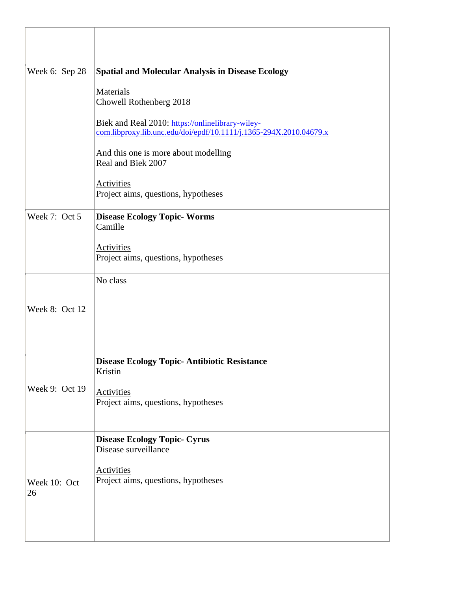| Week 6: Sep 28     | <b>Spatial and Molecular Analysis in Disease Ecology</b>                                                               |
|--------------------|------------------------------------------------------------------------------------------------------------------------|
|                    | Materials<br>Chowell Rothenberg 2018                                                                                   |
|                    | Biek and Real 2010: https://onlinelibrary-wiley-<br>com.libproxy.lib.unc.edu/doi/epdf/10.1111/j.1365-294X.2010.04679.x |
|                    | And this one is more about modelling<br>Real and Biek 2007                                                             |
|                    | <b>Activities</b><br>Project aims, questions, hypotheses                                                               |
| Week 7: Oct 5      | <b>Disease Ecology Topic-Worms</b><br>Camille                                                                          |
|                    | <b>Activities</b><br>Project aims, questions, hypotheses                                                               |
|                    | No class                                                                                                               |
| Week 8: Oct 12     |                                                                                                                        |
|                    | <b>Disease Ecology Topic- Antibiotic Resistance</b>                                                                    |
|                    | Kristin                                                                                                                |
| Week 9: Oct 19     | <b>Activities</b><br>Project aims, questions, hypotheses                                                               |
|                    | <b>Disease Ecology Topic- Cyrus</b><br>Disease surveillance                                                            |
| Week 10: Oct<br>26 | <b>Activities</b><br>Project aims, questions, hypotheses                                                               |
|                    |                                                                                                                        |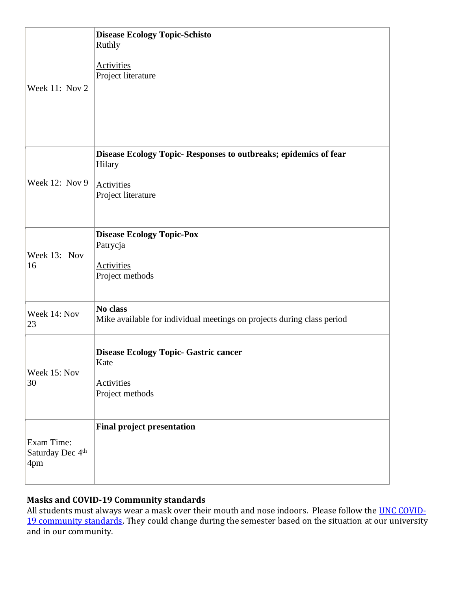| Week 11: Nov 2                        | <b>Disease Ecology Topic-Schisto</b><br><b>Ruthly</b><br><b>Activities</b><br>Project literature                      |
|---------------------------------------|-----------------------------------------------------------------------------------------------------------------------|
| Week 12: Nov 9                        | Disease Ecology Topic- Responses to outbreaks; epidemics of fear<br>Hilary<br><b>Activities</b><br>Project literature |
| Week 13: Nov<br>16                    | <b>Disease Ecology Topic-Pox</b><br>Patrycja<br><b>Activities</b><br>Project methods                                  |
| Week 14: Nov<br>23                    | No class<br>Mike available for individual meetings on projects during class period                                    |
| Week 15: Nov<br>30                    | <b>Disease Ecology Topic- Gastric cancer</b><br>Kate<br><b>Activities</b><br>Project methods                          |
| Exam Time:<br>Saturday Dec 4th<br>4pm | <b>Final project presentation</b>                                                                                     |

## **Masks and COVID-19 Community standards**

All students must always wear a mask over their mouth and nose indoors. Please follow the **UNC COVID-**[19 community standards.](https://carolinatogether.unc.edu/community-standards/) They could change during the semester based on the situation at our university and in our community.